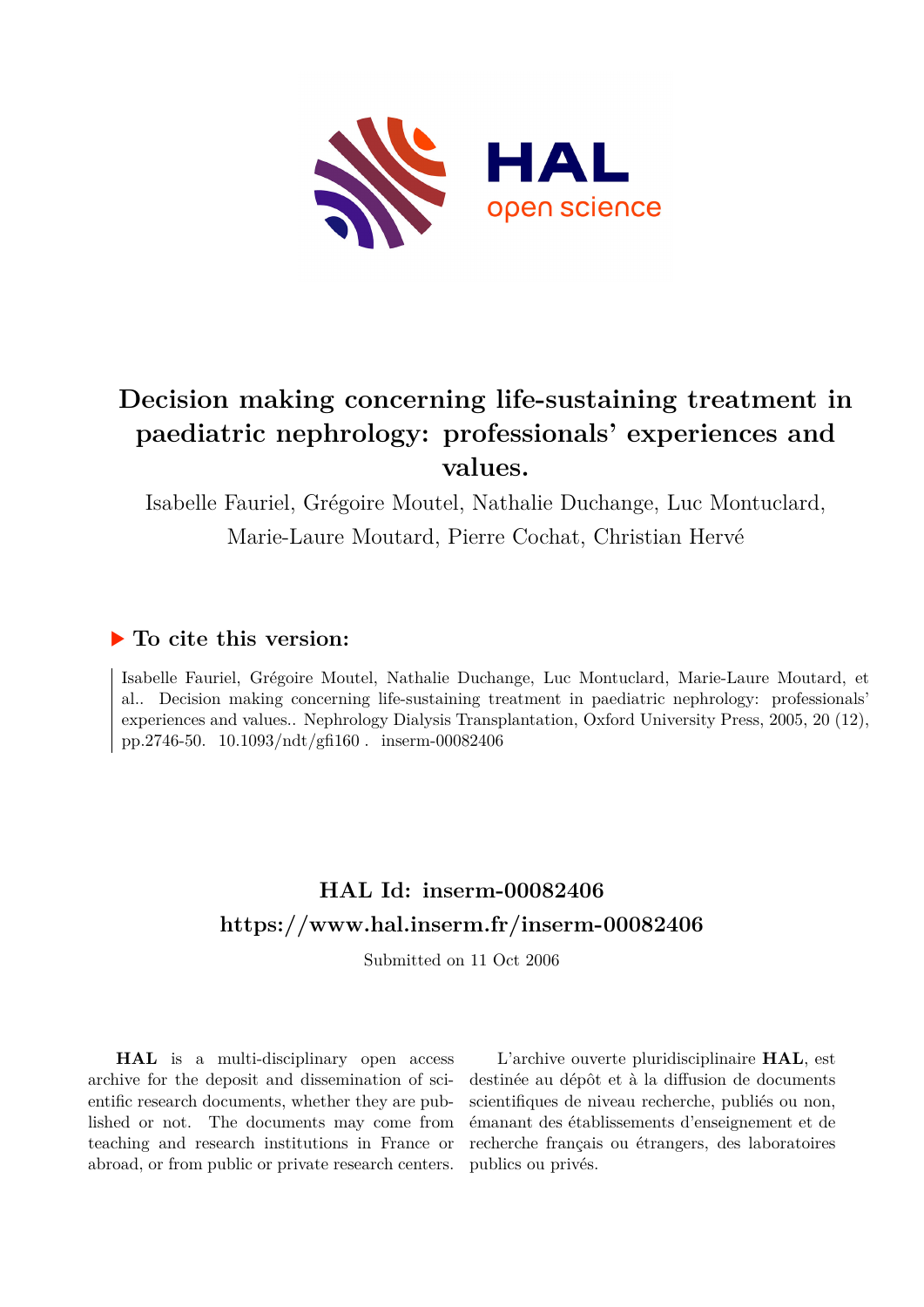

# **Decision making concerning life-sustaining treatment in paediatric nephrology: professionals' experiences and values.**

Isabelle Fauriel, Grégoire Moutel, Nathalie Duchange, Luc Montuclard, Marie-Laure Moutard, Pierre Cochat, Christian Hervé

# **To cite this version:**

Isabelle Fauriel, Grégoire Moutel, Nathalie Duchange, Luc Montuclard, Marie-Laure Moutard, et al.. Decision making concerning life-sustaining treatment in paediatric nephrology: professionals' experiences and values.. Nephrology Dialysis Transplantation, Oxford University Press, 2005, 20 (12), pp.2746-50.  $10.1093/ndt/eff160$ . inserm-00082406

# **HAL Id: inserm-00082406 <https://www.hal.inserm.fr/inserm-00082406>**

Submitted on 11 Oct 2006

**HAL** is a multi-disciplinary open access archive for the deposit and dissemination of scientific research documents, whether they are published or not. The documents may come from teaching and research institutions in France or abroad, or from public or private research centers.

L'archive ouverte pluridisciplinaire **HAL**, est destinée au dépôt et à la diffusion de documents scientifiques de niveau recherche, publiés ou non, émanant des établissements d'enseignement et de recherche français ou étrangers, des laboratoires publics ou privés.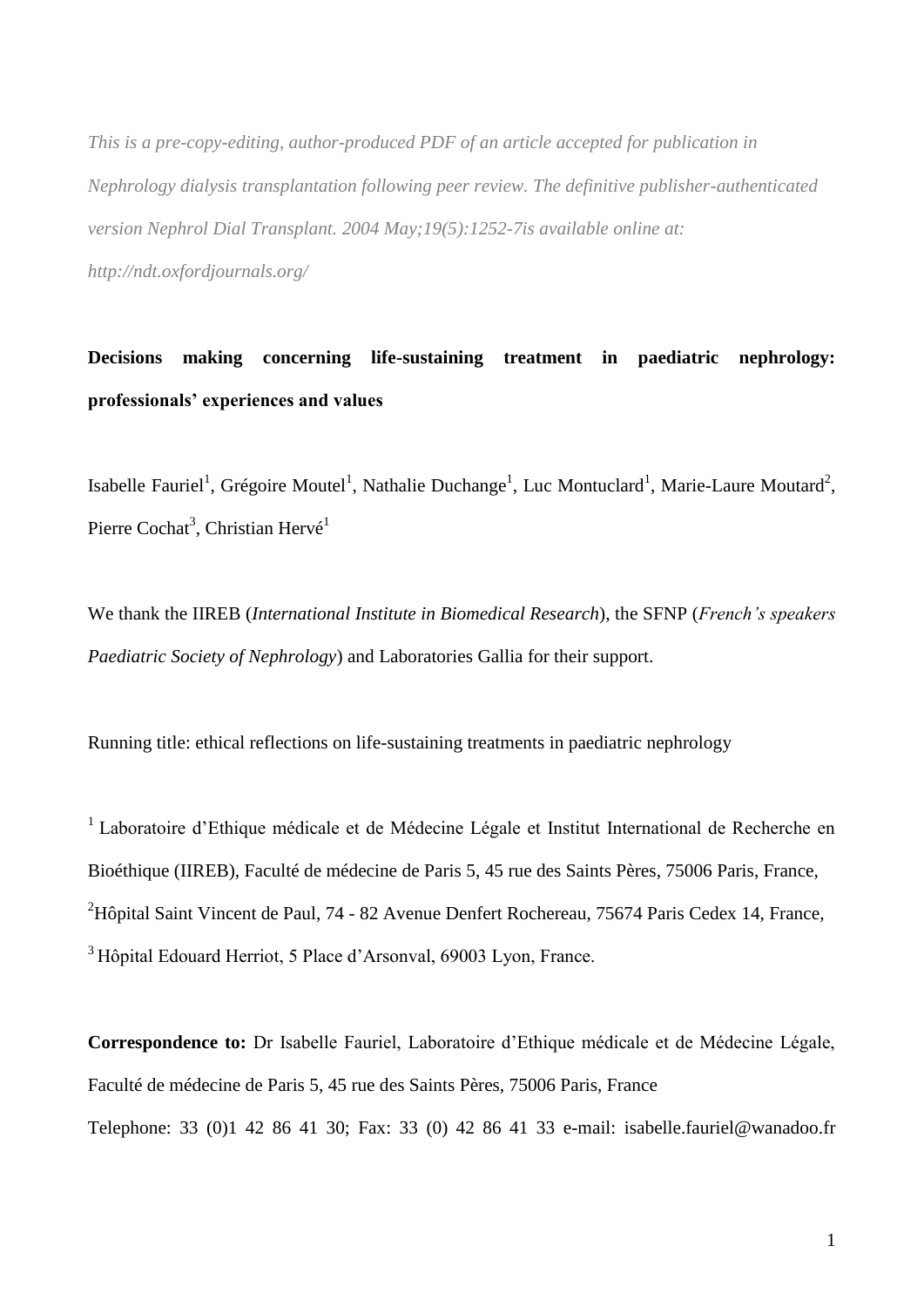*This is a pre-copy-editing, author-produced PDF of an article accepted for publication in Nephrology dialysis transplantation following peer review. The definitive publisher-authenticated version [Nephrol Dial Transplant.](javascript:AL_get(this,%20) 2004 May;19(5):1252-7is available online at: http://ndt.oxfordjournals.org/*

**Decisions making concerning life-sustaining treatment in paediatric nephrology: professionals' experiences and values**

Isabelle Fauriel<sup>1</sup>, Grégoire Moutel<sup>1</sup>, Nathalie Duchange<sup>1</sup>, Luc Montuclard<sup>1</sup>, Marie-Laure Moutard<sup>2</sup>, Pierre Cochat<sup>3</sup>, Christian Hervé<sup>1</sup>

We thank the IIREB (*International Institute in Biomedical Research*), the SFNP (*French's speakers Paediatric Society of Nephrology*) and Laboratories Gallia for their support.

Running title: ethical reflections on life-sustaining treatments in paediatric nephrology

<sup>1</sup> Laboratoire d'Ethique médicale et de Médecine Légale et Institut International de Recherche en Bioéthique (IIREB), Faculté de médecine de Paris 5, 45 rue des Saints Pères, 75006 Paris, France,  $^{2}$ Hôpital Saint Vincent de Paul, 74 - 82 Avenue Denfert Rochereau, 75674 Paris Cedex 14, France, <sup>3</sup>Hôpital Edouard Herriot, 5 Place d'Arsonval, 69003 Lyon, France.

**Correspondence to:** Dr Isabelle Fauriel, Laboratoire d'Ethique médicale et de Médecine Légale, Faculté de médecine de Paris 5, 45 rue des Saints Pères, 75006 Paris, France Telephone: 33 (0)1 42 86 41 30; Fax: 33 (0) 42 86 41 33 e-mail: isabelle.fauriel@wanadoo.fr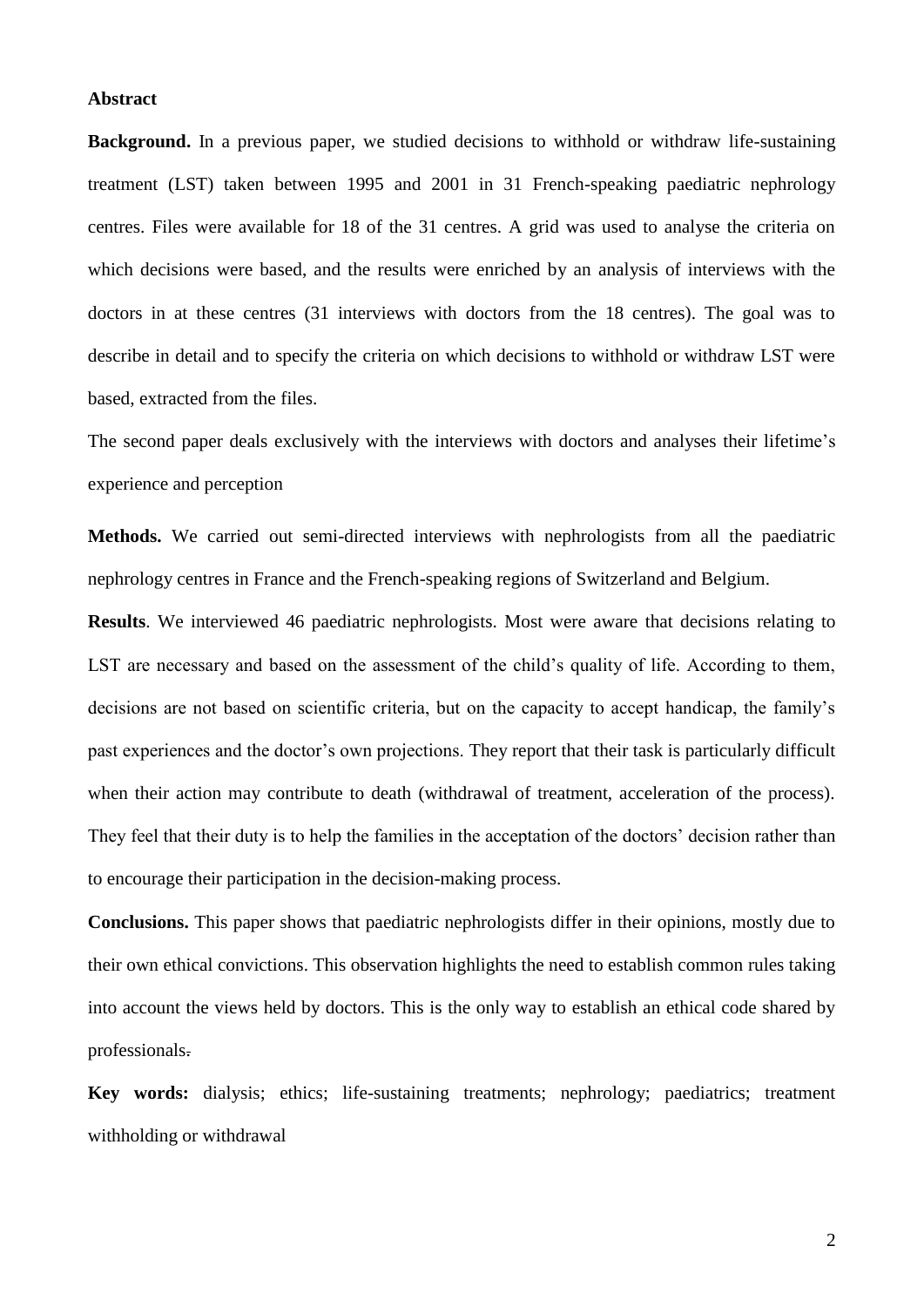#### **Abstract**

**Background.** In a previous paper, we studied decisions to withhold or withdraw life-sustaining treatment (LST) taken between 1995 and 2001 in 31 French-speaking paediatric nephrology centres. Files were available for 18 of the 31 centres. A grid was used to analyse the criteria on which decisions were based, and the results were enriched by an analysis of interviews with the doctors in at these centres (31 interviews with doctors from the 18 centres). The goal was to describe in detail and to specify the criteria on which decisions to withhold or withdraw LST were based, extracted from the files.

The second paper deals exclusively with the interviews with doctors and analyses their lifetime's experience and perception

**Methods.** We carried out semi-directed interviews with nephrologists from all the paediatric nephrology centres in France and the French-speaking regions of Switzerland and Belgium.

**Results**. We interviewed 46 paediatric nephrologists. Most were aware that decisions relating to LST are necessary and based on the assessment of the child's quality of life. According to them, decisions are not based on scientific criteria, but on the capacity to accept handicap, the family's past experiences and the doctor's own projections. They report that their task is particularly difficult when their action may contribute to death (withdrawal of treatment, acceleration of the process). They feel that their duty is to help the families in the acceptation of the doctors' decision rather than to encourage their participation in the decision-making process.

**Conclusions.** This paper shows that paediatric nephrologists differ in their opinions, mostly due to their own ethical convictions. This observation highlights the need to establish common rules taking into account the views held by doctors. This is the only way to establish an ethical code shared by professionals.

**Key words:** dialysis; ethics; life-sustaining treatments; nephrology; paediatrics; treatment withholding or withdrawal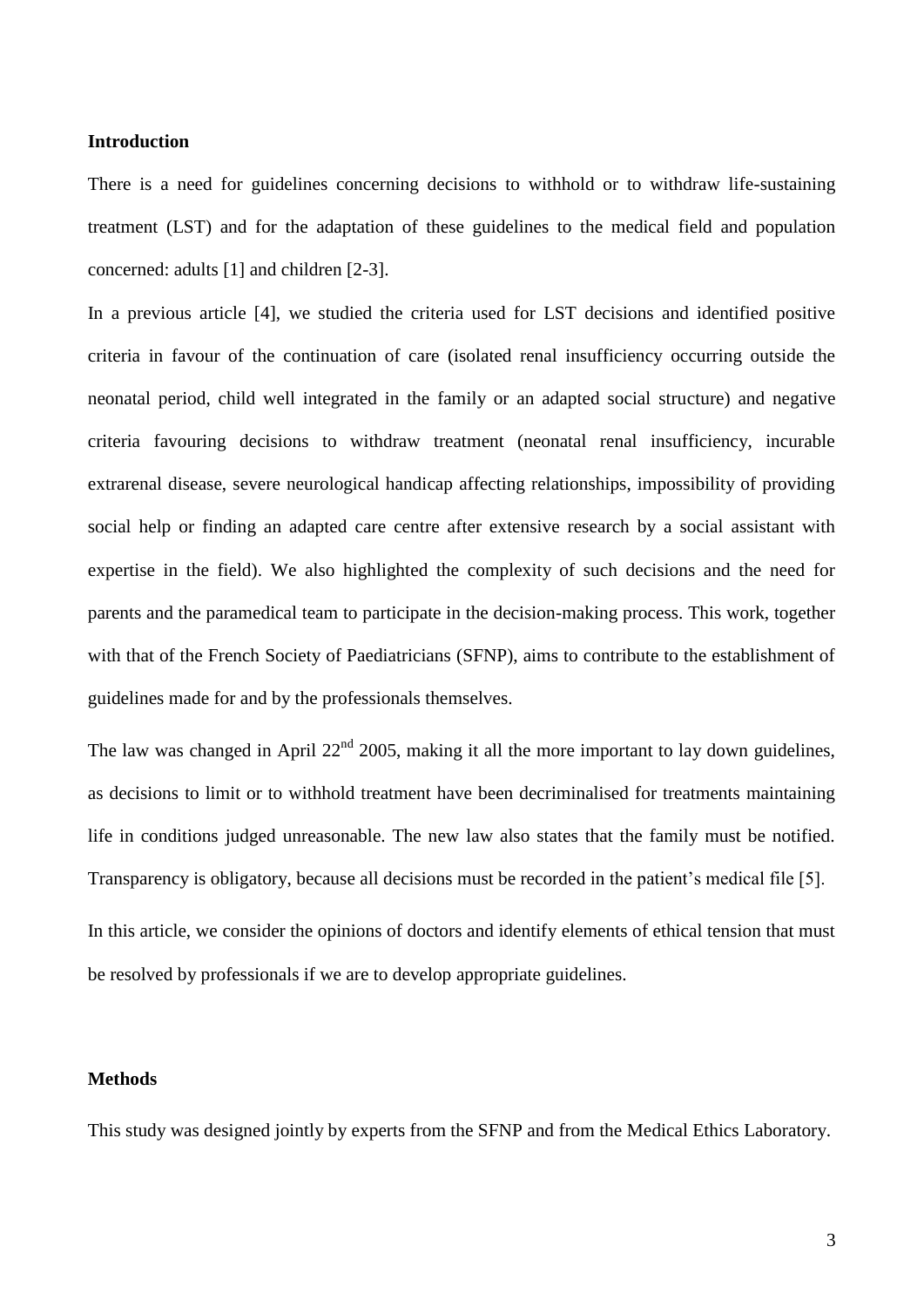### **Introduction**

There is a need for guidelines concerning decisions to withhold or to withdraw life-sustaining treatment (LST) and for the adaptation of these guidelines to the medical field and population concerned: adults [1] and children [2-3].

In a previous article [4], we studied the criteria used for LST decisions and identified positive criteria in favour of the continuation of care (isolated renal insufficiency occurring outside the neonatal period, child well integrated in the family or an adapted social structure) and negative criteria favouring decisions to withdraw treatment (neonatal renal insufficiency, incurable extrarenal disease, severe neurological handicap affecting relationships, impossibility of providing social help or finding an adapted care centre after extensive research by a social assistant with expertise in the field). We also highlighted the complexity of such decisions and the need for parents and the paramedical team to participate in the decision-making process. This work, together with that of the French Society of Paediatricians (SFNP), aims to contribute to the establishment of guidelines made for and by the professionals themselves.

The law was changed in April 22<sup>nd</sup> 2005, making it all the more important to lay down guidelines, as decisions to limit or to withhold treatment have been decriminalised for treatments maintaining life in conditions judged unreasonable. The new law also states that the family must be notified. Transparency is obligatory, because all decisions must be recorded in the patient's medical file [5]. In this article, we consider the opinions of doctors and identify elements of ethical tension that must be resolved by professionals if we are to develop appropriate guidelines.

# **Methods**

This study was designed jointly by experts from the SFNP and from the Medical Ethics Laboratory.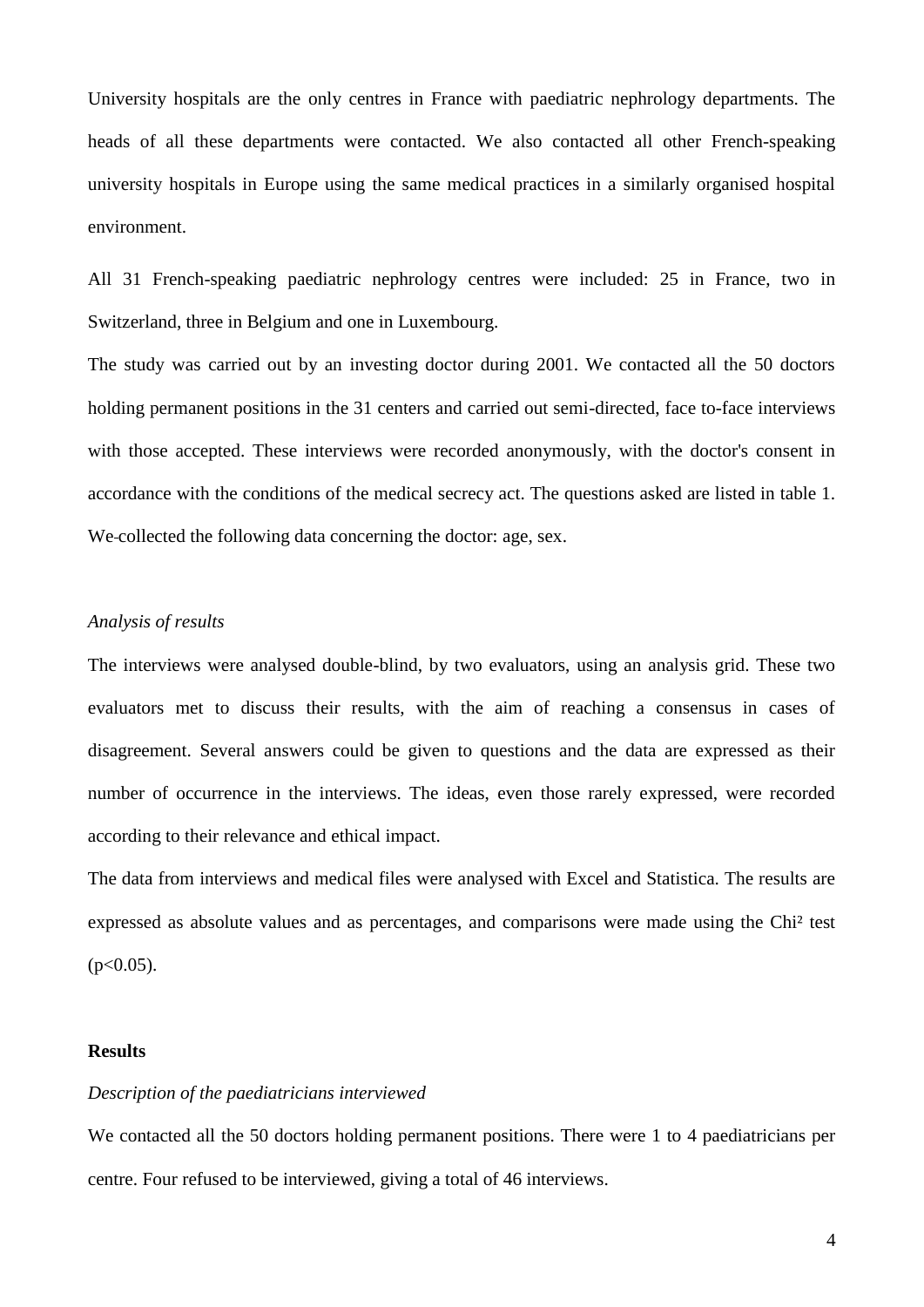University hospitals are the only centres in France with paediatric nephrology departments. The heads of all these departments were contacted. We also contacted all other French-speaking university hospitals in Europe using the same medical practices in a similarly organised hospital environment.

All 31 French-speaking paediatric nephrology centres were included: 25 in France, two in Switzerland, three in Belgium and one in Luxembourg.

The study was carried out by an investing doctor during 2001. We contacted all the 50 doctors holding permanent positions in the 31 centers and carried out semi-directed, face to-face interviews with those accepted. These interviews were recorded anonymously, with the doctor's consent in accordance with the conditions of the medical secrecy act. The questions asked are listed in table 1. We-collected the following data concerning the doctor: age, sex.

## *Analysis of results*

The interviews were analysed double-blind, by two evaluators, using an analysis grid. These two evaluators met to discuss their results, with the aim of reaching a consensus in cases of disagreement. Several answers could be given to questions and the data are expressed as their number of occurrence in the interviews. The ideas, even those rarely expressed, were recorded according to their relevance and ethical impact.

The data from interviews and medical files were analysed with Excel and Statistica. The results are expressed as absolute values and as percentages, and comparisons were made using the Chi² test  $(p<0.05)$ .

# **Results**

### *Description of the paediatricians interviewed*

We contacted all the 50 doctors holding permanent positions. There were 1 to 4 paediatricians per centre. Four refused to be interviewed, giving a total of 46 interviews.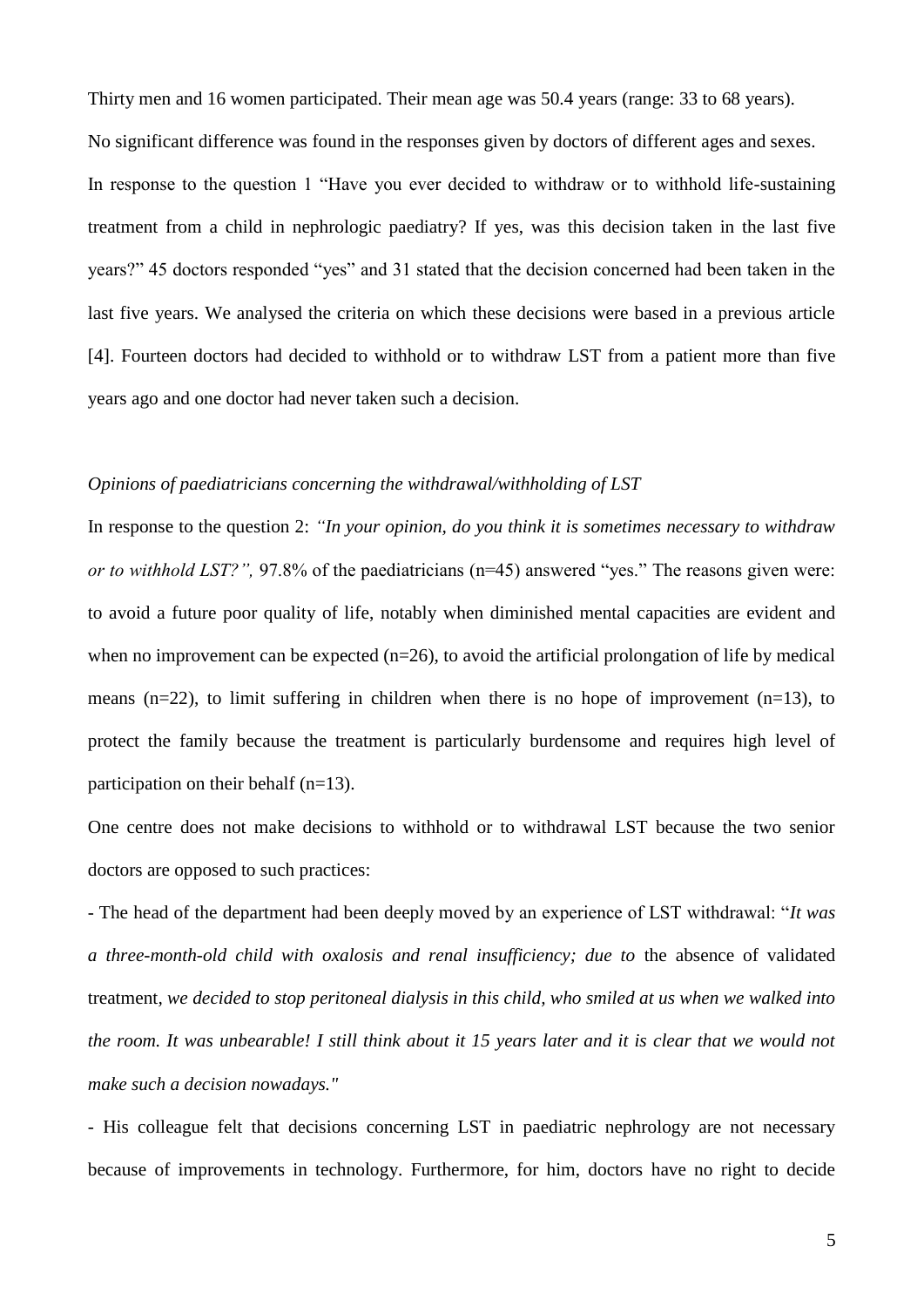Thirty men and 16 women participated. Their mean age was 50.4 years (range: 33 to 68 years).

No significant difference was found in the responses given by doctors of different ages and sexes.

In response to the question 1 "Have you ever decided to withdraw or to withhold life-sustaining treatment from a child in nephrologic paediatry? If yes, was this decision taken in the last five years?" 45 doctors responded "yes" and 31 stated that the decision concerned had been taken in the last five years. We analysed the criteria on which these decisions were based in a previous article [4]. Fourteen doctors had decided to withhold or to withdraw LST from a patient more than five years ago and one doctor had never taken such a decision.

# *Opinions of paediatricians concerning the withdrawal/withholding of LST*

In response to the question 2: *"In your opinion, do you think it is sometimes necessary to withdraw or to withhold LST?",* 97.8% of the paediatricians (n=45) answered "yes." The reasons given were: to avoid a future poor quality of life, notably when diminished mental capacities are evident and when no improvement can be expected  $(n=26)$ , to avoid the artificial prolongation of life by medical means ( $n=22$ ), to limit suffering in children when there is no hope of improvement ( $n=13$ ), to protect the family because the treatment is particularly burdensome and requires high level of participation on their behalf (n=13).

One centre does not make decisions to withhold or to withdrawal LST because the two senior doctors are opposed to such practices:

- The head of the department had been deeply moved by an experience of LST withdrawal: "*It was a three-month-old child with oxalosis and renal insufficiency; due to* the absence of validated treatment*, we decided to stop peritoneal dialysis in this child, who smiled at us when we walked into the room. It was unbearable! I still think about it 15 years later and it is clear that we would not make such a decision nowadays."*

- His colleague felt that decisions concerning LST in paediatric nephrology are not necessary because of improvements in technology. Furthermore, for him, doctors have no right to decide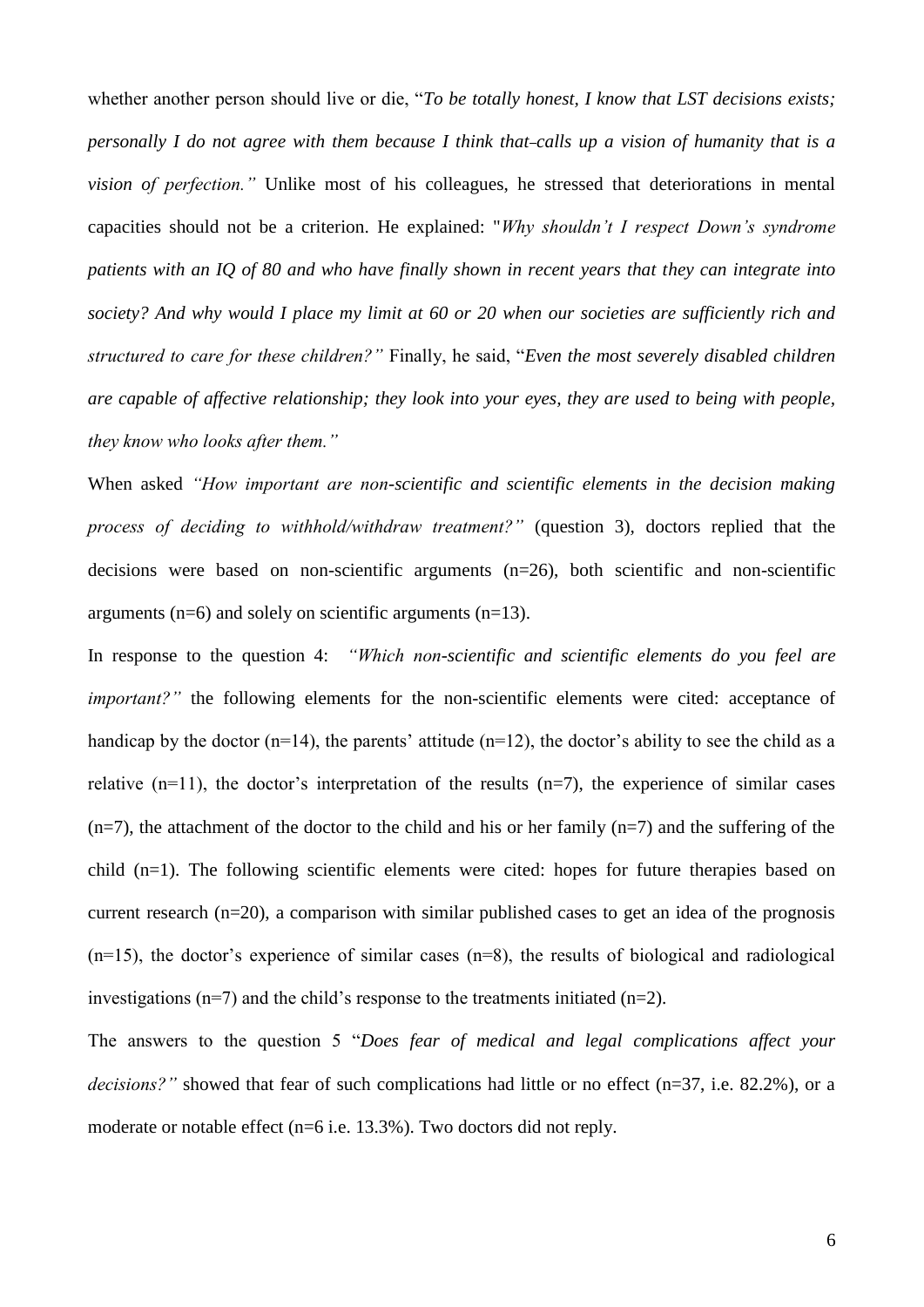whether another person should live or die, "*To be totally honest, I know that LST decisions exists; personally I do not agree with them because I think that calls up a vision of humanity that is a vision of perfection."* Unlike most of his colleagues, he stressed that deteriorations in mental capacities should not be a criterion. He explained: "*Why shouldn't I respect Down's syndrome patients with an IQ of 80 and who have finally shown in recent years that they can integrate into society? And why would I place my limit at 60 or 20 when our societies are sufficiently rich and structured to care for these children?"* Finally, he said, "*Even the most severely disabled children are capable of affective relationship; they look into your eyes, they are used to being with people, they know who looks after them."* 

When asked *"How important are non-scientific and scientific elements in the decision making process of deciding to withhold/withdraw treatment?"* (question 3)*,* doctors replied that the decisions were based on non-scientific arguments (n=26), both scientific and non-scientific arguments ( $n=6$ ) and solely on scientific arguments ( $n=13$ ).

In response to the question 4: *"Which non-scientific and scientific elements do you feel are important?"* the following elements for the non-scientific elements were cited: acceptance of handicap by the doctor  $(n=14)$ , the parents' attitude  $(n=12)$ , the doctor's ability to see the child as a relative  $(n=11)$ , the doctor's interpretation of the results  $(n=7)$ , the experience of similar cases  $(n=7)$ , the attachment of the doctor to the child and his or her family  $(n=7)$  and the suffering of the child (n=1). The following scientific elements were cited: hopes for future therapies based on current research (n=20), a comparison with similar published cases to get an idea of the prognosis  $(n=15)$ , the doctor's experience of similar cases  $(n=8)$ , the results of biological and radiological investigations  $(n=7)$  and the child's response to the treatments initiated  $(n=2)$ .

The answers to the question 5 "*Does fear of medical and legal complications affect your*  decisions?" showed that fear of such complications had little or no effect (n=37, i.e. 82.2%), or a moderate or notable effect (n=6 i.e. 13.3%). Two doctors did not reply.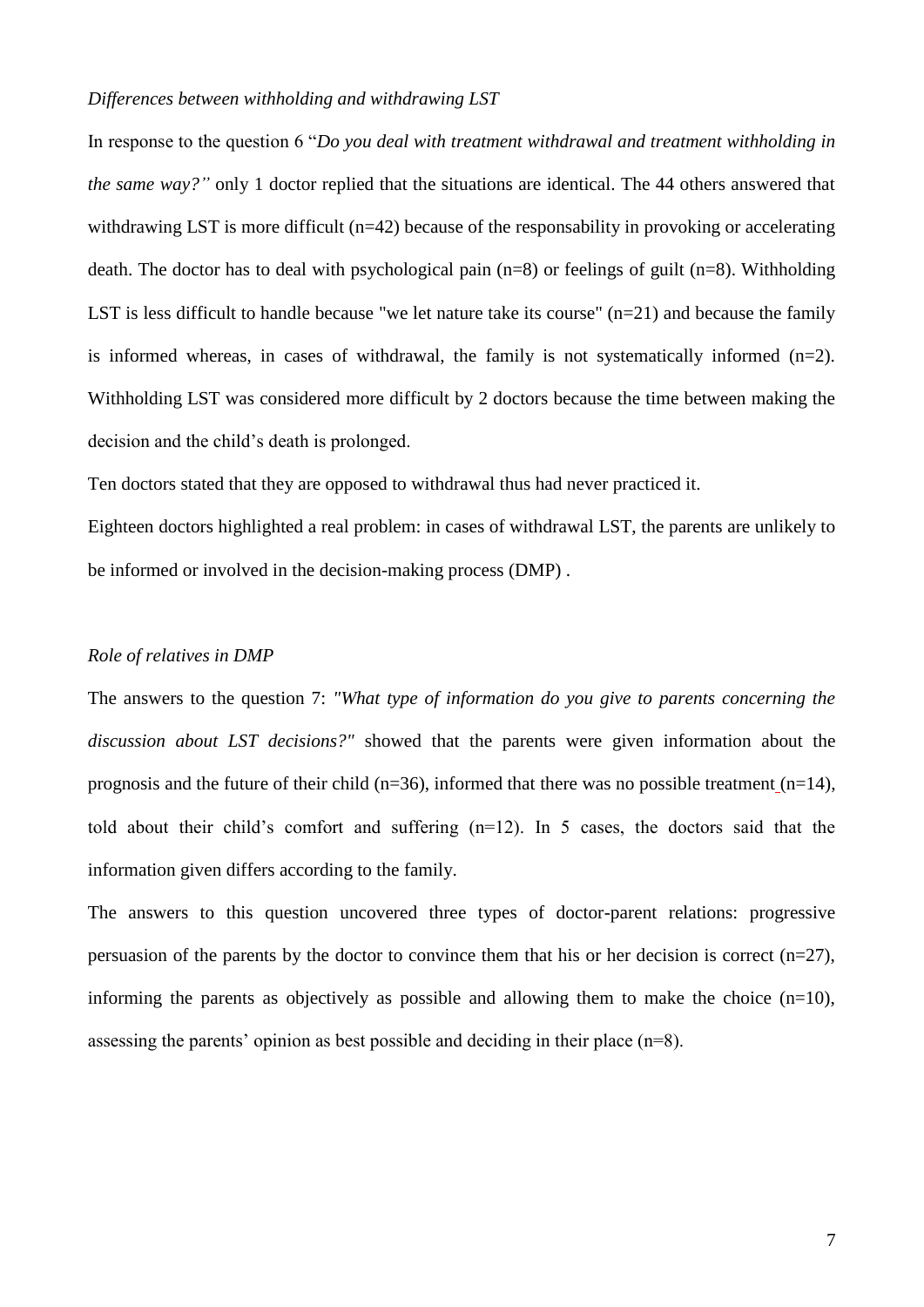# *Differences between withholding and withdrawing LST*

In response to the question 6 "*Do you deal with treatment withdrawal and treatment withholding in the same way?"* only 1 doctor replied that the situations are identical. The 44 others answered that withdrawing LST is more difficult (n=42) because of the responsability in provoking or accelerating death. The doctor has to deal with psychological pain (n=8) or feelings of guilt (n=8). Withholding LST is less difficult to handle because "we let nature take its course" (n=21) and because the family is informed whereas, in cases of withdrawal, the family is not systematically informed (n=2). Withholding LST was considered more difficult by 2 doctors because the time between making the decision and the child's death is prolonged.

Ten doctors stated that they are opposed to withdrawal thus had never practiced it.

Eighteen doctors highlighted a real problem: in cases of withdrawal LST, the parents are unlikely to be informed or involved in the decision-making process (DMP) .

# *Role of relatives in DMP*

The answers to the question 7: *"What type of information do you give to parents concerning the discussion about LST decisions?"* showed that the parents were given information about the prognosis and the future of their child (n=36), informed that there was no possible treatment (n=14), told about their child's comfort and suffering (n=12). In 5 cases, the doctors said that the information given differs according to the family.

The answers to this question uncovered three types of doctor-parent relations: progressive persuasion of the parents by the doctor to convince them that his or her decision is correct  $(n=27)$ , informing the parents as objectively as possible and allowing them to make the choice  $(n=10)$ , assessing the parents' opinion as best possible and deciding in their place (n=8).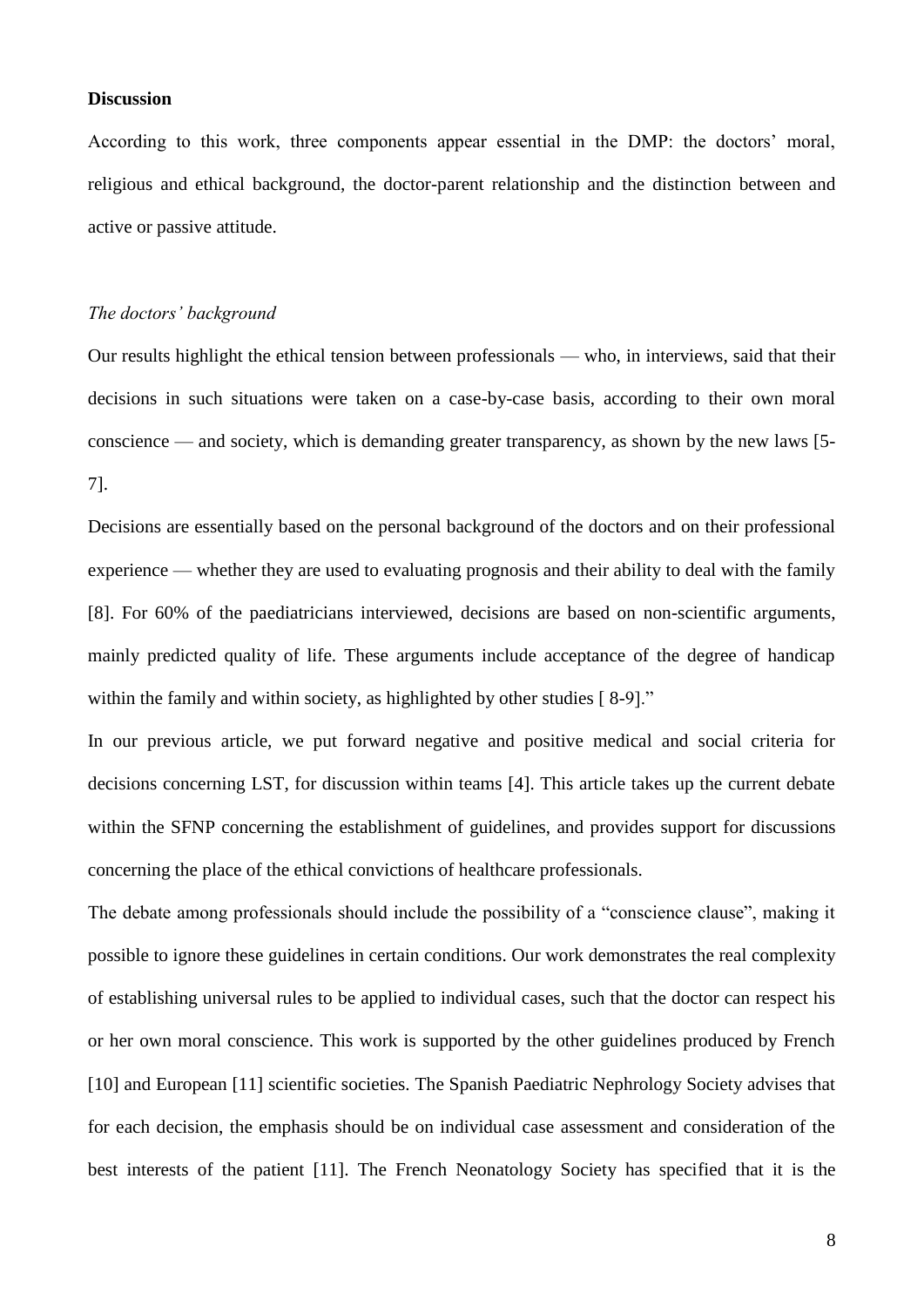## **Discussion**

According to this work, three components appear essential in the DMP: the doctors' moral, religious and ethical background, the doctor-parent relationship and the distinction between and active or passive attitude.

#### *The doctors' background*

Our results highlight the ethical tension between professionals — who, in interviews, said that their decisions in such situations were taken on a case-by-case basis, according to their own moral conscience — and society, which is demanding greater transparency, as shown by the new laws [5- 7].

Decisions are essentially based on the personal background of the doctors and on their professional experience — whether they are used to evaluating prognosis and their ability to deal with the family [8]. For 60% of the paediatricians interviewed, decisions are based on non-scientific arguments, mainly predicted quality of life. These arguments include acceptance of the degree of handicap within the family and within society, as highlighted by other studies [8-9]."

In our previous article, we put forward negative and positive medical and social criteria for decisions concerning LST, for discussion within teams [4]. This article takes up the current debate within the SFNP concerning the establishment of guidelines, and provides support for discussions concerning the place of the ethical convictions of healthcare professionals.

The debate among professionals should include the possibility of a "conscience clause", making it possible to ignore these guidelines in certain conditions. Our work demonstrates the real complexity of establishing universal rules to be applied to individual cases, such that the doctor can respect his or her own moral conscience. This work is supported by the other guidelines produced by French [10] and European [11] scientific societies. The Spanish Paediatric Nephrology Society advises that for each decision, the emphasis should be on individual case assessment and consideration of the best interests of the patient [11]. The French Neonatology Society has specified that it is the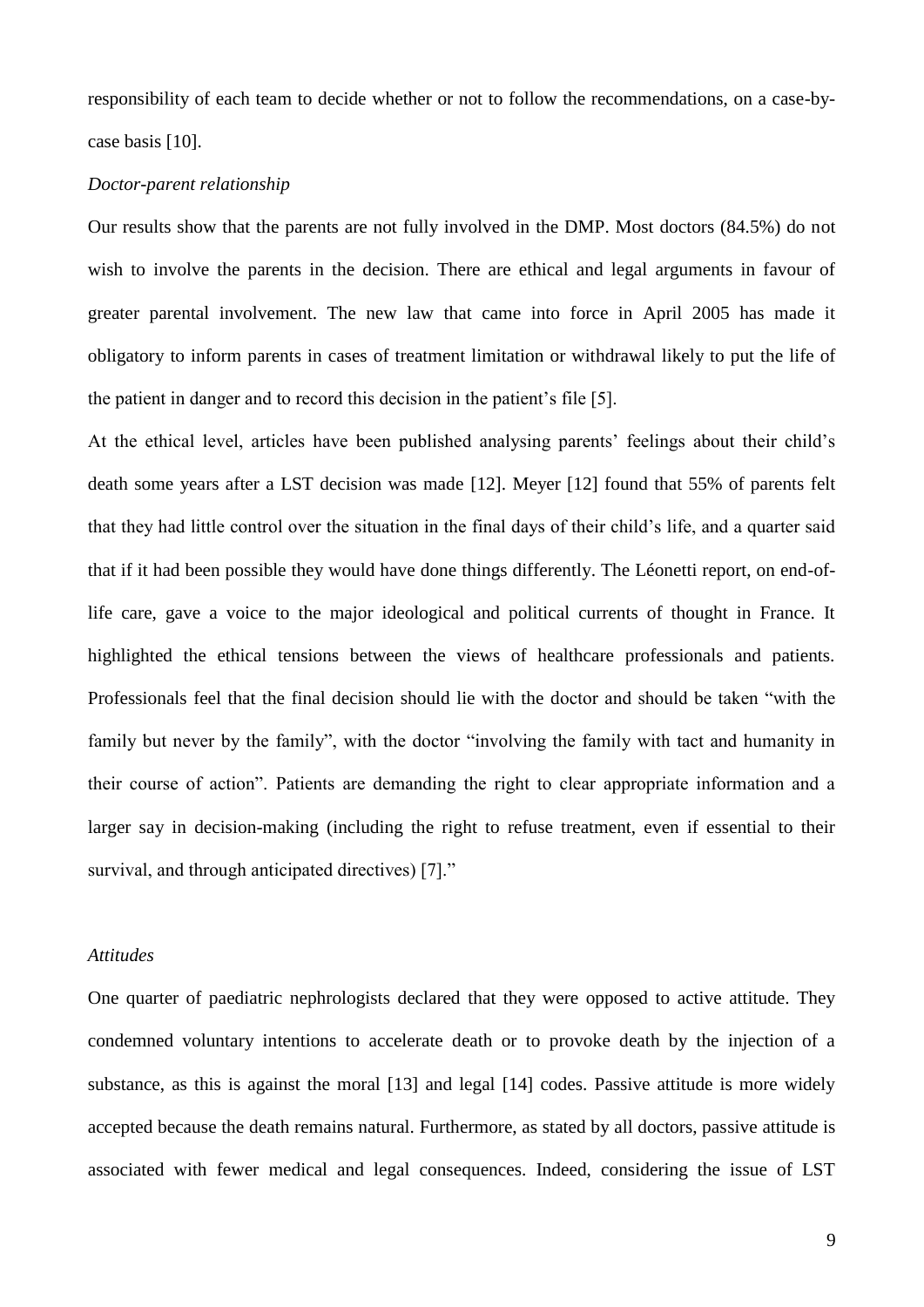responsibility of each team to decide whether or not to follow the recommendations, on a case-bycase basis [10].

# *Doctor-parent relationship*

Our results show that the parents are not fully involved in the DMP. Most doctors (84.5%) do not wish to involve the parents in the decision. There are ethical and legal arguments in favour of greater parental involvement. The new law that came into force in April 2005 has made it obligatory to inform parents in cases of treatment limitation or withdrawal likely to put the life of the patient in danger and to record this decision in the patient's file [5].

At the ethical level, articles have been published analysing parents' feelings about their child's death some years after a LST decision was made [12]. Meyer [12] found that 55% of parents felt that they had little control over the situation in the final days of their child's life, and a quarter said that if it had been possible they would have done things differently. The Léonetti report, on end-oflife care, gave a voice to the major ideological and political currents of thought in France. It highlighted the ethical tensions between the views of healthcare professionals and patients. Professionals feel that the final decision should lie with the doctor and should be taken "with the family but never by the family", with the doctor "involving the family with tact and humanity in their course of action". Patients are demanding the right to clear appropriate information and a larger say in decision-making (including the right to refuse treatment, even if essential to their survival, and through anticipated directives) [7]."

#### *Attitudes*

One quarter of paediatric nephrologists declared that they were opposed to active attitude. They condemned voluntary intentions to accelerate death or to provoke death by the injection of a substance, as this is against the moral [13] and legal [14] codes. Passive attitude is more widely accepted because the death remains natural. Furthermore, as stated by all doctors, passive attitude is associated with fewer medical and legal consequences. Indeed, considering the issue of LST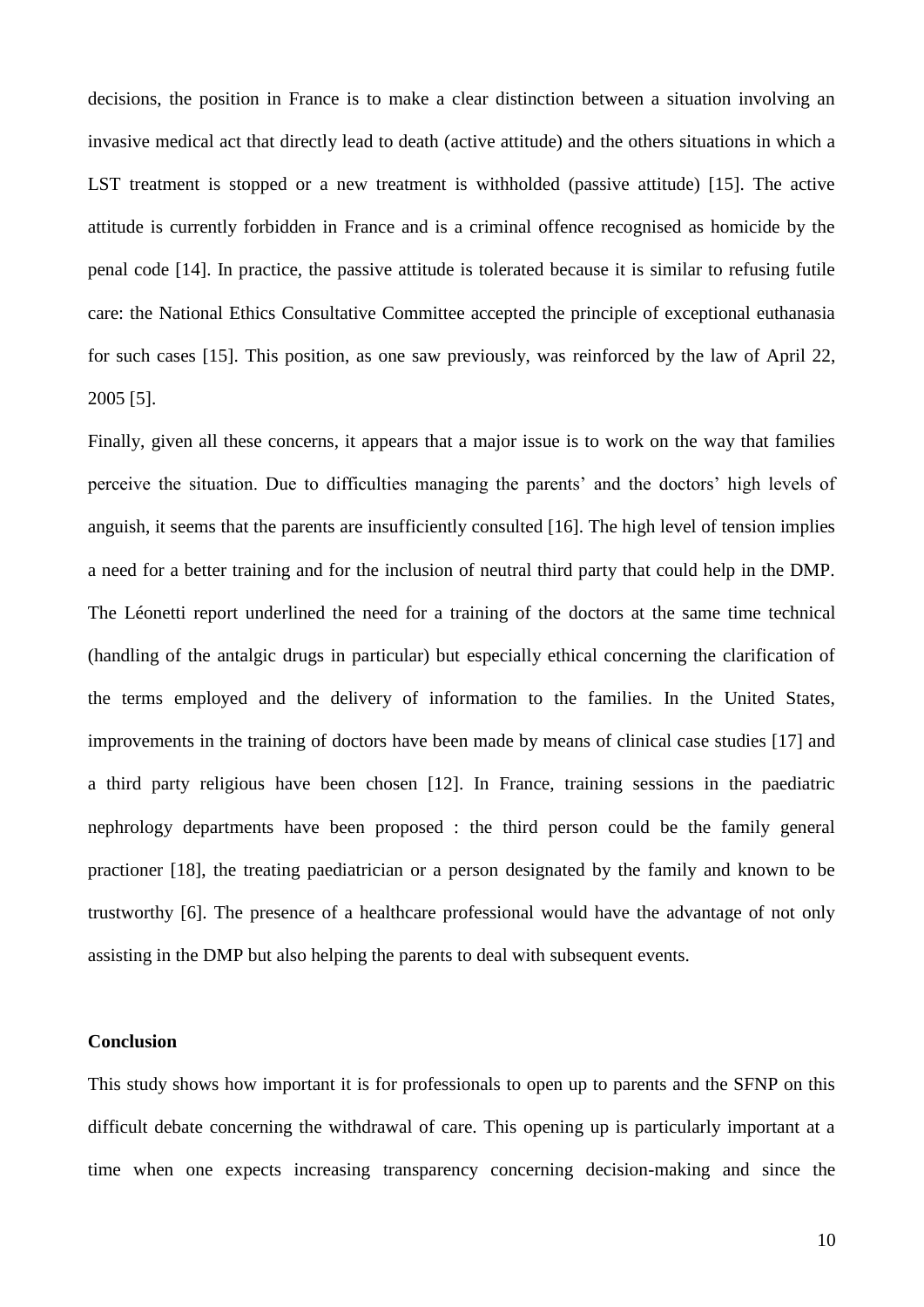decisions, the position in France is to make a clear distinction between a situation involving an invasive medical act that directly lead to death (active attitude) and the others situations in which a LST treatment is stopped or a new treatment is withholded (passive attitude) [15]. The active attitude is currently forbidden in France and is a criminal offence recognised as homicide by the penal code [14]. In practice, the passive attitude is tolerated because it is similar to refusing futile care: the National Ethics Consultative Committee accepted the principle of exceptional euthanasia for such cases [15]. This position, as one saw previously, was reinforced by the law of April 22, 2005 [5].

Finally, given all these concerns, it appears that a major issue is to work on the way that families perceive the situation. Due to difficulties managing the parents' and the doctors' high levels of anguish, it seems that the parents are insufficiently consulted [16]. The high level of tension implies a need for a better training and for the inclusion of neutral third party that could help in the DMP. The Léonetti report underlined the need for a training of the doctors at the same time technical (handling of the antalgic drugs in particular) but especially ethical concerning the clarification of the terms employed and the delivery of information to the families. In the United States, improvements in the training of doctors have been made by means of clinical case studies [17] and a third party religious have been chosen [12]. In France, training sessions in the paediatric nephrology departments have been proposed : the third person could be the family general practioner [18], the treating paediatrician or a person designated by the family and known to be trustworthy [6]. The presence of a healthcare professional would have the advantage of not only assisting in the DMP but also helping the parents to deal with subsequent events.

### **Conclusion**

This study shows how important it is for professionals to open up to parents and the SFNP on this difficult debate concerning the withdrawal of care. This opening up is particularly important at a time when one expects increasing transparency concerning decision-making and since the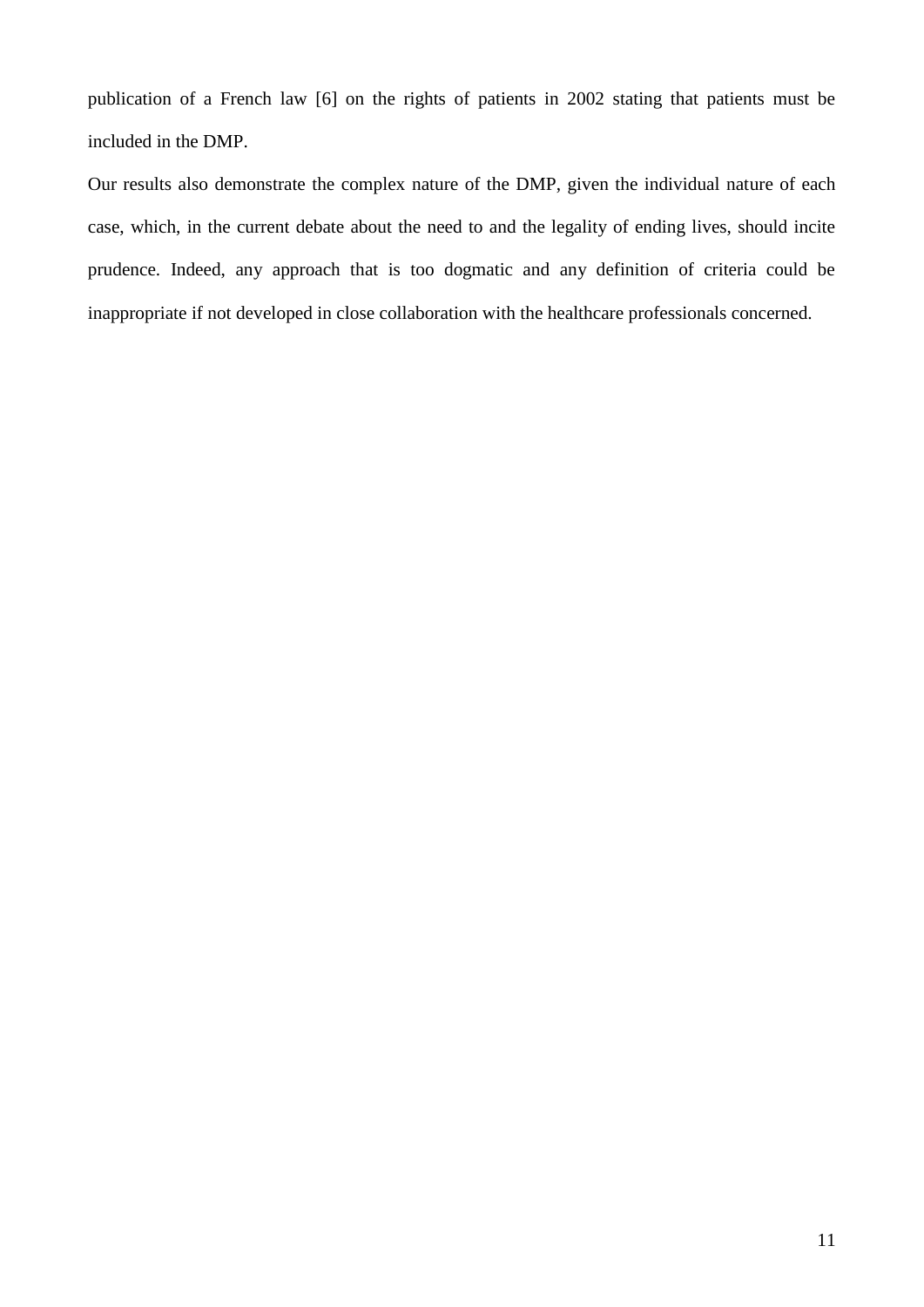publication of a French law [6] on the rights of patients in 2002 stating that patients must be included in the DMP.

Our results also demonstrate the complex nature of the DMP, given the individual nature of each case, which, in the current debate about the need to and the legality of ending lives, should incite prudence. Indeed, any approach that is too dogmatic and any definition of criteria could be inappropriate if not developed in close collaboration with the healthcare professionals concerned.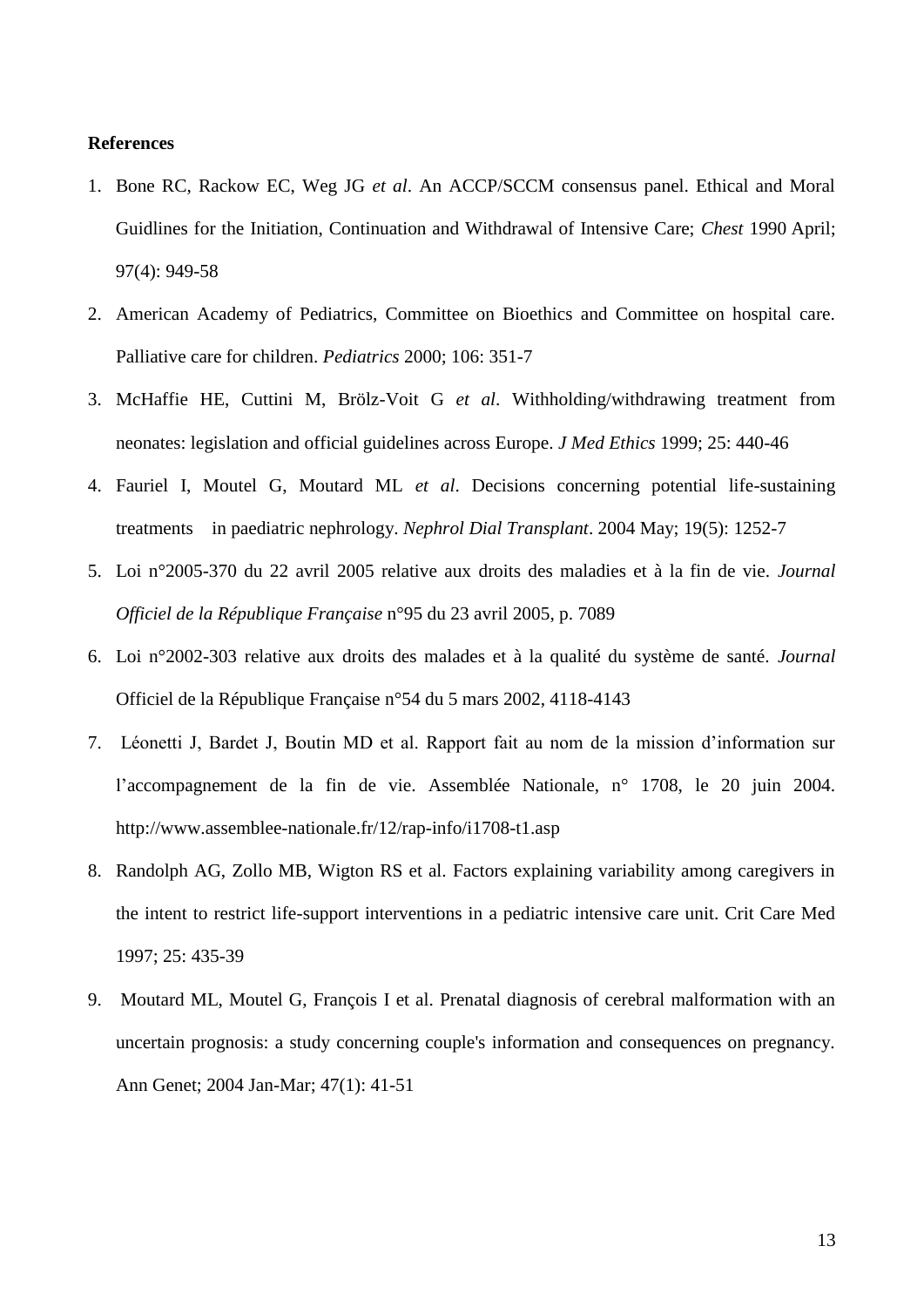#### **References**

- 1. Bone RC, Rackow EC, Weg JG *et al*. An ACCP/SCCM consensus panel. Ethical and Moral Guidlines for the Initiation, Continuation and Withdrawal of Intensive Care; *Chest* 1990 April; 97(4): 949-58
- 2. American Academy of Pediatrics, Committee on Bioethics and Committee on hospital care. Palliative care for children. *Pediatrics* 2000; 106: 351-7
- 3. McHaffie HE, Cuttini M, Brölz-Voit G *et al*. Withholding/withdrawing treatment from neonates: legislation and official guidelines across Europe. *J Med Ethics* 1999; 25: 440-46
- 4. Fauriel I, Moutel G, Moutard ML *et al*. Decisions concerning potential life-sustaining treatments in paediatric nephrology. *Nephrol Dial Transplant*. 2004 May; 19(5): 1252-7
- 5. Loi n°2005-370 du 22 avril 2005 relative aux droits des maladies et à la fin de vie. *Journal Officiel de la République Française* n°95 du 23 avril 2005, p. 7089
- 6. Loi n°2002-303 relative aux droits des malades et à la qualité du système de santé. *Journal*  Officiel de la République Française n°54 du 5 mars 2002, 4118-4143
- 7. Léonetti J, Bardet J, Boutin MD et al. Rapport fait au nom de la mission d'information sur l'accompagnement de la fin de vie. Assemblée Nationale, n° 1708, le 20 juin 2004. <http://www.assemblee-nationale.fr/12/rap-info/i1708-t1.asp>
- 8. Randolph AG, Zollo MB, Wigton RS et al. Factors explaining variability among caregivers in the intent to restrict life-support interventions in a pediatric intensive care unit. Crit Care Med 1997; 25: 435-39
- 9. Moutard ML, Moutel G, François I et al. Prenatal diagnosis of cerebral malformation with an uncertain prognosis: a study concerning couple's information and consequences on pregnancy. Ann Genet; 2004 Jan-Mar; 47(1): 41-51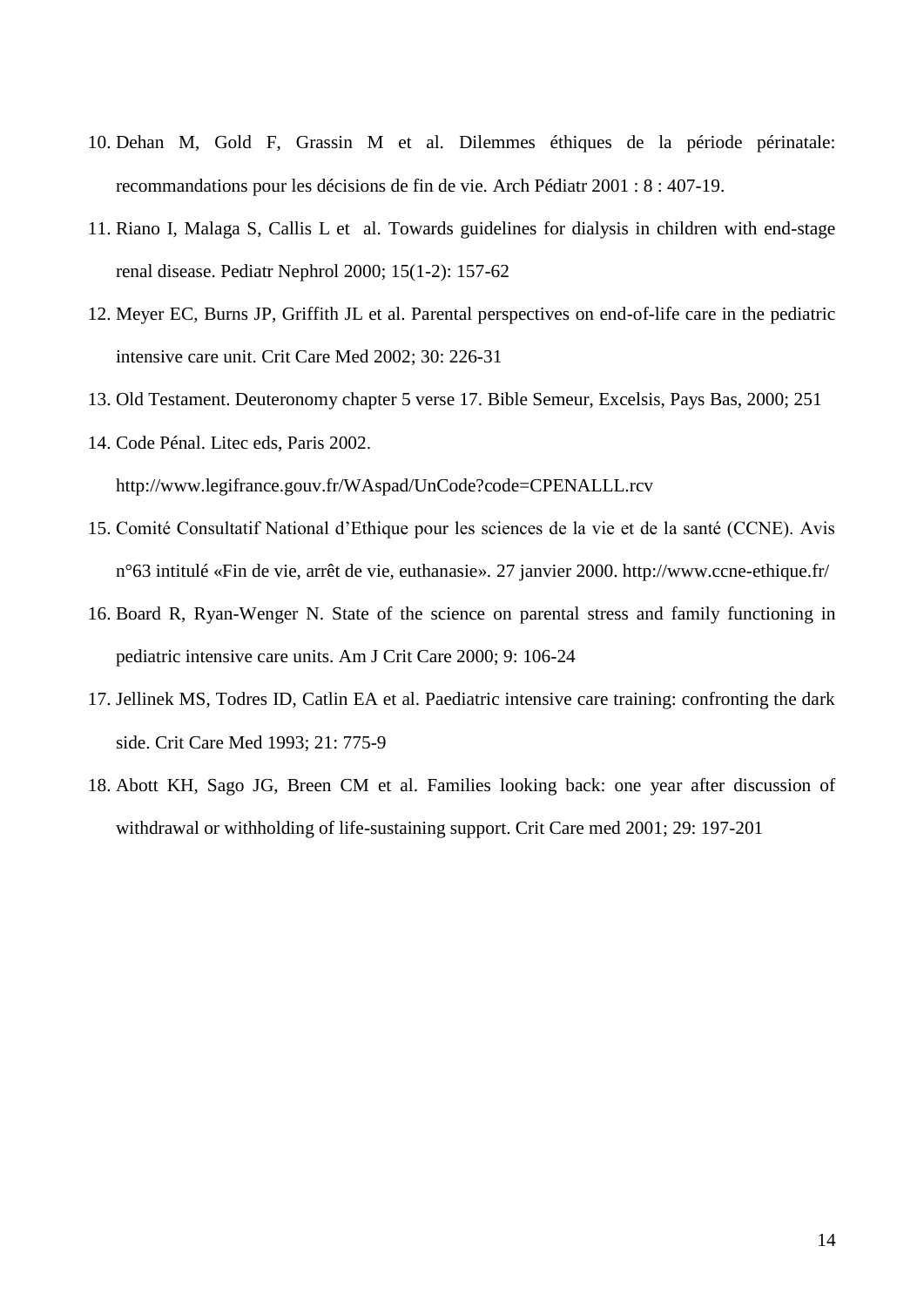- 10. Dehan M, Gold F, Grassin M et al. Dilemmes éthiques de la période périnatale: recommandations pour les décisions de fin de vie. Arch Pédiatr 2001 : 8 : 407-19.
- 11. Riano I, Malaga S, Callis L et al. Towards guidelines for dialysis in children with end-stage renal disease. Pediatr Nephrol 2000; 15(1-2): 157-62
- 12. Meyer EC, Burns JP, Griffith JL et al. Parental perspectives on end-of-life care in the pediatric intensive care unit. Crit Care Med 2002; 30: 226-31
- 13. Old Testament. Deuteronomy chapter 5 verse 17. Bible Semeur, Excelsis, Pays Bas, 2000; 251
- 14. Code Pénal. Litec eds, Paris 2002.

<http://www.legifrance.gouv.fr/WAspad/UnCode?code=CPENALLL.rcv>

- 15. Comité Consultatif National d'Ethique pour les sciences de la vie et de la santé (CCNE). Avis n°63 intitulé «Fin de vie, arrêt de vie, euthanasie». 27 janvier 2000.<http://www.ccne-ethique.fr/>
- 16. Board R, Ryan-Wenger N. State of the science on parental stress and family functioning in pediatric intensive care units. Am J Crit Care 2000; 9: 106-24
- 17. Jellinek MS, Todres ID, Catlin EA et al. Paediatric intensive care training: confronting the dark side. Crit Care Med 1993; 21: 775-9
- 18. Abott KH, Sago JG, Breen CM et al. Families looking back: one year after discussion of withdrawal or withholding of life-sustaining support. Crit Care med 2001; 29: 197-201